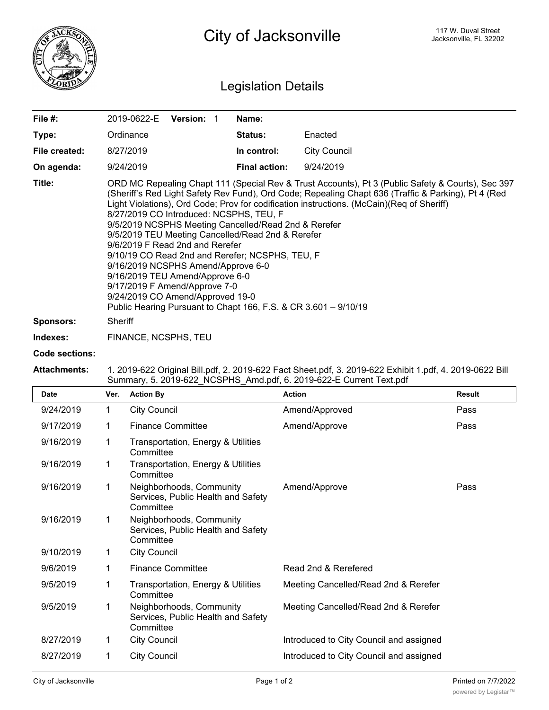

City of Jacksonville **City of Street** City of Jacksonville, FL 32202

## Legislation Details

| File #:          | <b>Version:</b><br>2019-0622-E                                                                                                                                                                                                                                                                                                                                                                                                                                                                                                                                                                                                                                                                                                                                       | Name:                |                     |  |  |
|------------------|----------------------------------------------------------------------------------------------------------------------------------------------------------------------------------------------------------------------------------------------------------------------------------------------------------------------------------------------------------------------------------------------------------------------------------------------------------------------------------------------------------------------------------------------------------------------------------------------------------------------------------------------------------------------------------------------------------------------------------------------------------------------|----------------------|---------------------|--|--|
| Type:            | Ordinance                                                                                                                                                                                                                                                                                                                                                                                                                                                                                                                                                                                                                                                                                                                                                            | <b>Status:</b>       | Enacted             |  |  |
| File created:    | 8/27/2019                                                                                                                                                                                                                                                                                                                                                                                                                                                                                                                                                                                                                                                                                                                                                            | In control:          | <b>City Council</b> |  |  |
| On agenda:       | 9/24/2019                                                                                                                                                                                                                                                                                                                                                                                                                                                                                                                                                                                                                                                                                                                                                            | <b>Final action:</b> | 9/24/2019           |  |  |
| Title:           | ORD MC Repealing Chapt 111 (Special Rev & Trust Accounts), Pt 3 (Public Safety & Courts), Sec 397<br>(Sheriff's Red Light Safety Rev Fund), Ord Code; Repealing Chapt 636 (Traffic & Parking), Pt 4 (Red<br>Light Violations), Ord Code; Prov for codification instructions. (McCain)(Req of Sheriff)<br>8/27/2019 CO Introduced: NCSPHS, TEU, F<br>9/5/2019 NCSPHS Meeting Cancelled/Read 2nd & Rerefer<br>9/5/2019 TEU Meeting Cancelled/Read 2nd & Rerefer<br>9/6/2019 F Read 2nd and Rerefer<br>9/10/19 CO Read 2nd and Rerefer; NCSPHS, TEU, F<br>9/16/2019 NCSPHS Amend/Approve 6-0<br>9/16/2019 TEU Amend/Approve 6-0<br>9/17/2019 F Amend/Approve 7-0<br>9/24/2019 CO Amend/Approved 19-0<br>Public Hearing Pursuant to Chapt 166, F.S. & CR 3.601 - 9/10/19 |                      |                     |  |  |
| <b>Sponsors:</b> | Sheriff                                                                                                                                                                                                                                                                                                                                                                                                                                                                                                                                                                                                                                                                                                                                                              |                      |                     |  |  |

**Indexes:** FINANCE, NCSPHS, TEU

## **Code sections:**

## **Attachments:** 1. 2019-622 Original Bill.pdf, 2. 2019-622 Fact Sheet.pdf, 3. 2019-622 Exhibit 1.pdf, 4. 2019-0622 Bill Summary, 5. 2019-622\_NCSPHS\_Amd.pdf, 6. 2019-622-E Current Text.pdf

| <b>Date</b> | Ver. | <b>Action By</b>                                                            | <b>Action</b>                           | <b>Result</b> |
|-------------|------|-----------------------------------------------------------------------------|-----------------------------------------|---------------|
| 9/24/2019   | 1    | <b>City Council</b>                                                         | Amend/Approved                          | Pass          |
| 9/17/2019   | 1    | <b>Finance Committee</b>                                                    | Amend/Approve                           | Pass          |
| 9/16/2019   | 1    | Transportation, Energy & Utilities<br>Committee                             |                                         |               |
| 9/16/2019   | 1    | Transportation, Energy & Utilities<br>Committee                             |                                         |               |
| 9/16/2019   | 1    | Neighborhoods, Community<br>Services, Public Health and Safety<br>Committee | Amend/Approve                           | Pass          |
| 9/16/2019   | 1    | Neighborhoods, Community<br>Services, Public Health and Safety<br>Committee |                                         |               |
| 9/10/2019   | 1    | <b>City Council</b>                                                         |                                         |               |
| 9/6/2019    | 1    | <b>Finance Committee</b>                                                    | Read 2nd & Rerefered                    |               |
| 9/5/2019    | 1    | Transportation, Energy & Utilities<br>Committee                             | Meeting Cancelled/Read 2nd & Rerefer    |               |
| 9/5/2019    | 1    | Neighborhoods, Community<br>Services, Public Health and Safety<br>Committee | Meeting Cancelled/Read 2nd & Rerefer    |               |
| 8/27/2019   | 1    | <b>City Council</b>                                                         | Introduced to City Council and assigned |               |
| 8/27/2019   | 1    | <b>City Council</b>                                                         | Introduced to City Council and assigned |               |